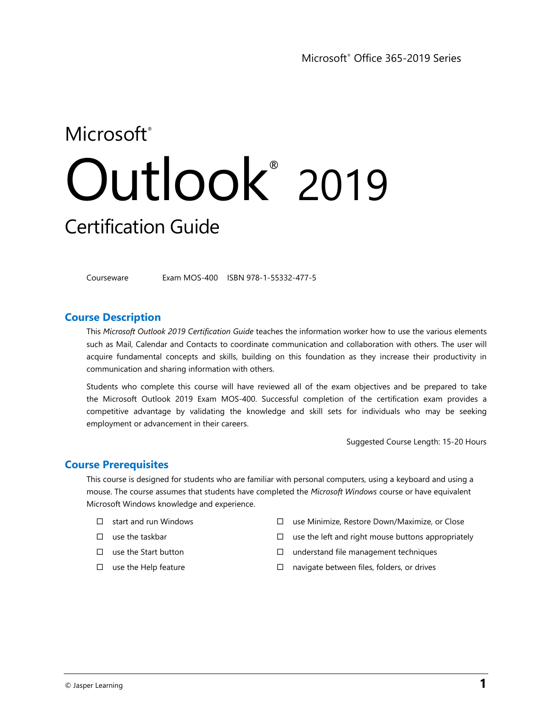# Microsoft<sup>®</sup> Outlook ® 2019 Certification Guide

Courseware Exam MOS-400 ISBN 978-1-55332-477-5

## **Course Description**

This *Microsoft Outlook 2019 Certification Guide* teaches the information worker how to use the various elements such as Mail, Calendar and Contacts to coordinate communication and collaboration with others. The user will acquire fundamental concepts and skills, building on this foundation as they increase their productivity in communication and sharing information with others.

Students who complete this course will have reviewed all of the exam objectives and be prepared to take the Microsoft Outlook 2019 Exam MOS-400. Successful completion of the certification exam provides a competitive advantage by validating the knowledge and skill sets for individuals who may be seeking employment or advancement in their careers.

Suggested Course Length: 15-20 Hours

## **Course Prerequisites**

This course is designed for students who are familiar with personal computers, using a keyboard and using a mouse. The course assumes that students have completed the *Microsoft Windows* course or have equivalent Microsoft Windows knowledge and experience.

- $\square$  start and run Windows
- $\Box$  use the taskbar
- use the Start button
- $\square$  use the Help feature
- use Minimize, Restore Down/Maximize, or Close
- $\square$  use the left and right mouse buttons appropriately
- $\square$  understand file management techniques
- $\square$  navigate between files, folders, or drives